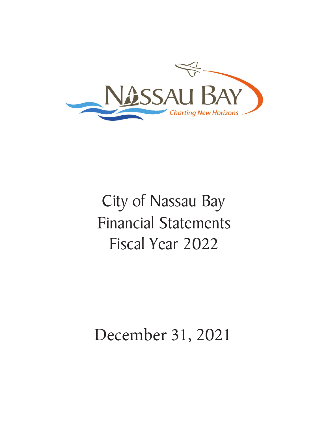

# City of Nassau Bay **Financial Statements** Fiscal Year 20

## December 31, 2021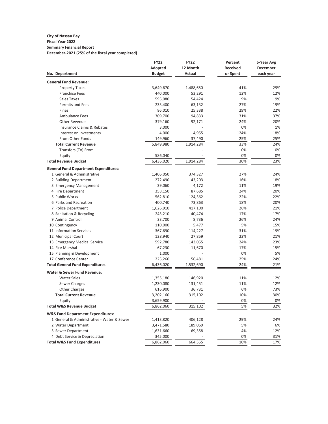#### **City of Nassau Bay Fiscal Year 2022 Summary Financial Report**

**December-2021 (25% of the fiscal year completed)**

|                                              | <b>FY22</b>   | <b>FY22</b> | Percent         | 5-Year Avg |
|----------------------------------------------|---------------|-------------|-----------------|------------|
|                                              | Adopted       | 12 Month    | <b>Received</b> | December   |
| No. Department                               | <b>Budget</b> | Actual      | or Spent        | each year  |
| <b>General Fund Revenue:</b>                 |               |             |                 |            |
| <b>Property Taxes</b>                        | 3,649,670     | 1,488,650   | 41%             | 29%        |
| <b>Franchise Fees</b>                        | 440,000       | 53,291      | 12%             | 12%        |
| Sales Taxes                                  | 595,080       | 54,424      | 9%              | 9%         |
| <b>Permits and Fees</b>                      | 233,400       | 63,132      | 27%             | 19%        |
| Fines                                        | 86,010        | 25,338      | 29%             | 22%        |
| <b>Ambulance Fees</b>                        | 309,700       | 94,833      | 31%             | 37%        |
| Other Revenue                                | 379,160       | 92,171      | 24%             | 20%        |
| Insurance Claims & Rebates                   | 3,000         |             | 0%              | 1%         |
| Interest on Investments                      | 4,000         | 4,955       | 124%            | 18%        |
| From Other Funds                             | 149,960       | 37,490      | 25%             | 25%        |
| <b>Total Current Revenue</b>                 | 5,849,980     | 1,914,284   | 33%             | 24%        |
| Transfers (To) From                          |               |             | 0%              | 0%         |
| Equity                                       | 586,040       |             | 0%              | 0%         |
| <b>Total Revenue Budget</b>                  | 6,436,020     | 1,914,284   | 30%             | 23%        |
| <b>General Fund Department Expenditures:</b> |               |             |                 |            |
| 1 General & Administrative                   | 1,406,050     | 374,327     | 27%             | 24%        |
| 2 Building Department                        | 272,490       | 43,203      | 16%             | 18%        |
| 3 Emergency Management                       | 39,060        | 4,172       | 11%             | 19%        |
| 4 Fire Department                            | 358,150       | 87,685      | 24%             | 20%        |
| 5 Public Works                               | 562,810       | 124,362     | 22%             | 22%        |
| 6 Parks and Recreation                       | 400,740       | 73,863      | 18%             | 20%        |
| 7 Police Department                          | 1,626,910     | 417,100     | 26%             | 21%        |
| 8 Sanitation & Recycling                     | 243,210       | 40,474      | 17%             | 17%        |
| 9 Animal Control                             | 33,700        | 8,736       | 26%             | 24%        |
| 10 Contingency                               | 110,000       | 5,477       | 5%              | 15%        |
| 11 Information Services                      | 367,690       | 114,227     | 31%             | 19%        |
| 12 Municipal Court                           | 128,940       | 27,859      | 22%             | 21%        |
| 13 Emergency Medical Service                 | 592,780       | 143,055     | 24%             | 23%        |
| 14 Fire Marshal                              | 67,230        | 11,670      | 17%             | 15%        |
| 15 Planning & Development                    | 1,000         |             | 0%              | 5%         |
| 17 Conference Center                         | 225,260       | 56,481      | 25%             | 24%        |
| <b>Total General Fund Expenditures</b>       | 6,436,020     | 1,532,690   | 24%             | 21%        |
| <b>Water &amp; Sewer Fund Revenue:</b>       |               |             |                 |            |
| <b>Water Sales</b>                           | 1,355,180     | 146,920     | 11%             | 12%        |
| Sewer Charges                                | 1,230,080     | 131,451     | 11%             | 12%        |
| <b>Other Charges</b>                         | 616,900       | 36,731      | 6%              | 73%        |
| <b>Total Current Revenue</b>                 | 3,202,160     | 315,102     | 10%             | 30%        |
| Equity                                       | 3,659,900     |             | 0%              | 0%         |
| <b>Total W&amp;S Revenue Budget</b>          | 6,862,060     | 315,102     | 5%              | 32%        |
|                                              |               |             |                 |            |
| <b>W&amp;S Fund Department Expenditures:</b> |               |             |                 |            |
| 1 General & Administrative - Water & Sewer   | 1,413,820     | 406,128     | 29%             | 24%        |
| 2 Water Department                           | 3,471,580     | 189,069     | 5%              | 6%         |
| 3 Sewer Department                           | 1,631,660     | 69,358      | 4%              | 12%        |
| 4 Debt Service & Depreciation                | 345,000       |             | 0%              | 31%        |
| <b>Total W&amp;S Fund Expenditures</b>       | 6,862,060     | 664,555     | 10%             | 17%        |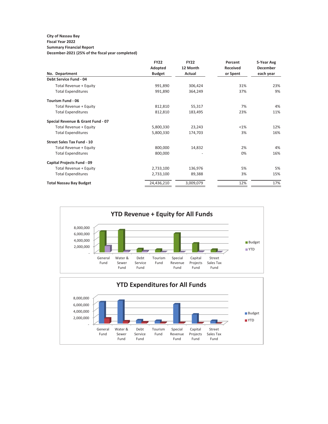#### **City of Nassau Bay Fiscal Year 2022**

## **Summary Financial Report**

**December-2021 (25% of the fiscal year completed)**

|                                   | <b>FY22</b>   | <b>FY22</b> | Percent         | 5-Year Avg      |
|-----------------------------------|---------------|-------------|-----------------|-----------------|
|                                   | Adopted       | 12 Month    | <b>Received</b> | <b>December</b> |
| No. Department                    | <b>Budget</b> | Actual      | or Spent        | each year       |
| Debt Service Fund - 04            |               |             |                 |                 |
| Total Revenue + Equity            | 991,890       | 306,424     | 31%             | 23%             |
| <b>Total Expenditures</b>         | 991,890       | 364,249     | 37%             | 9%              |
| Tourism Fund - 06                 |               |             |                 |                 |
| Total Revenue + Equity            | 812,810       | 55,317      | 7%              | 4%              |
| <b>Total Expenditures</b>         | 812,810       | 183,495     | 23%             | 11%             |
| Special Revenue & Grant Fund - 07 |               |             |                 |                 |
| Total Revenue + Equity            | 5,800,330     | 23,243      | <1%             | 12%             |
| <b>Total Expenditures</b>         | 5,800,330     | 174,703     | 3%              | 16%             |
| <b>Street Sales Tax Fund - 10</b> |               |             |                 |                 |
| Total Revenue + Equity            | 800,000       | 14,832      | 2%              | 4%              |
| <b>Total Expenditures</b>         | 800,000       |             | 0%              | 16%             |
| <b>Capital Projects Fund - 09</b> |               |             |                 |                 |
| Total Revenue + Equity            | 2,733,100     | 136,976     | 5%              | 5%              |
| <b>Total Expenditures</b>         | 2,733,100     | 89,388      | 3%              | 15%             |
| <b>Total Nassau Bay Budget</b>    | 24,436,210    | 3,009,079   | 12%             | 17%             |

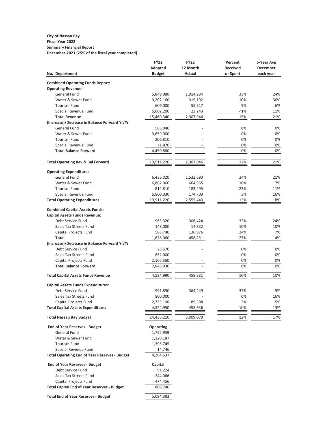## **City of Nassau Bay Fiscal Year 2022 Summary Financial Report**

**December-2021 (25% of the fiscal year completed)**

|                                                      | <b>FY22</b>   | <b>FY22</b> | Percent         | 5-Year Avg      |
|------------------------------------------------------|---------------|-------------|-----------------|-----------------|
|                                                      | Adopted       | 12 Month    | <b>Received</b> | <b>December</b> |
| No. Department                                       | <b>Budget</b> | Actual      | or Spent        | each year       |
| <b>Combined Operating Funds Report:</b>              |               |             |                 |                 |
| <b>Operating Revenue:</b>                            |               |             |                 |                 |
| General Fund                                         | 5,849,980     | 1,914,284   | 33%             | 24%             |
| Water & Sewer Fund                                   | 3,202,160     | 315,102     | 10%             | 30%             |
| <b>Tourism Fund</b>                                  | 606,000       | 55,317      | 9%              | 6%              |
| Special Revenue Fund                                 | 5,802,200     | 23,243      | <1%             | 11%             |
| <b>Total Revenue</b>                                 | 15,460,340    | 2,307,946   | 15%             | 21%             |
| (Increase)/Decrease in Balance Forward Yr/Yr         |               |             |                 |                 |
| General Fund                                         | 586,040       |             | 0%              | 0%              |
| Water & Sewer Fund                                   | 3,659,900     |             | 0%              | 0%              |
| <b>Tourism Fund</b>                                  | 206,810       |             | 0%              | 0%              |
| Special Revenue Fund                                 | (1,870)       |             | 0%              | 0%              |
| <b>Total Balance Forward</b>                         | 4,450,880     |             | 0%              | 0%              |
|                                                      |               |             |                 |                 |
| <b>Total Operating Rev &amp; Bal Forward</b>         | 19,911,220    | 2,307,946   | 12%             | 21%             |
| <b>Operating Expenditures:</b>                       |               |             |                 |                 |
| <b>General Fund</b>                                  | 6,436,020     | 1,532,690   | 24%             | 21%             |
| Water & Sewer Fund                                   | 6,862,060     | 664,555     | 10%             | 17%             |
| <b>Tourism Fund</b>                                  | 812,810       | 183,495     | 23%             | 11%             |
| Special Revenue Fund                                 | 5,800,330     | 174,703     | 3%              | 16%             |
| <b>Total Operating Expenditures</b>                  | 19,911,220    | 2,555,443   | 13%             | 18%             |
| <b>Combined Capital Assets Funds:</b>                |               |             |                 |                 |
| <b>Capital Assets Funds Revenue:</b>                 |               |             |                 |                 |
| Debt Service Fund                                    | 963,320       | 306,424     | 32%             | 24%             |
| Sales Tax Streets Fund                               | 148,000       | 14,832      | 10%             | 10%             |
| Capital Projects Fund                                | 566,740       | 136,976     | 24%             | 7%              |
| Total                                                | 1,678,060     | 458,231     | 27%             | 14%             |
| (Increase)/Decrease in Balance Forward Yr/Yr         |               |             |                 |                 |
| Debt Service Fund                                    | 28,570        |             | 0%              | 0%              |
| Sales Tax Streets Fund                               | 652,000       |             | 0%              | 0%              |
| Capital Projects Fund                                | 2,166,360     |             | 0%              | 0%              |
| <b>Total Balance Forward</b>                         | 2,846,930     |             | 0%              | 0%              |
| <b>Total Capital Assets Funds Revenue</b>            | 4,524,990     | 458,231     | 10%             | 10%             |
|                                                      |               |             |                 |                 |
| <b>Capital Assets Funds Expenditures:</b>            |               |             |                 |                 |
| Debt Service Fund                                    | 991,890       | 364,249     | 37%             | 9%              |
| Sales Tax Streets Fund                               | 800,000       |             | 0%              | 16%             |
| Capital Projects Fund                                | 2,733,100     | 89,388      | 3%              | 15%             |
| <b>Total Capital Assets Expenditures</b>             | 4,524,990     | 453,636     | 10%             | 13%             |
| <b>Total Nassau Bay Budget</b>                       | 24,436,210    | 3,009,079   | 12%             | 17%             |
| <b>End of Year Reserves - Budget</b>                 | Operating     |             |                 |                 |
| General Fund                                         | 1,752,959     |             |                 |                 |
| Water & Sewer Fund                                   | 1,120,187     |             |                 |                 |
| <b>Tourism Fund</b>                                  | 1,396,745     |             |                 |                 |
| Special Revenue Fund                                 | 14,746        |             |                 |                 |
| <b>Total Operating End of Year Reserves - Budget</b> | 4,284,637     |             |                 |                 |
| <b>End of Year Reserves - Budget</b>                 | Capital       |             |                 |                 |
| Debt Service Fund                                    | 91,224        |             |                 |                 |
| Sales Tax Streets Fund                               | 244,066       |             |                 |                 |
| Capital Projects Fund                                | 474,456       |             |                 |                 |
| <b>Total Capital End of Year Reserves - Budget</b>   | 809,746       |             |                 |                 |
|                                                      |               |             |                 |                 |
| <b>Total End of Year Reserves - Budget</b>           | 5,094,383     |             |                 |                 |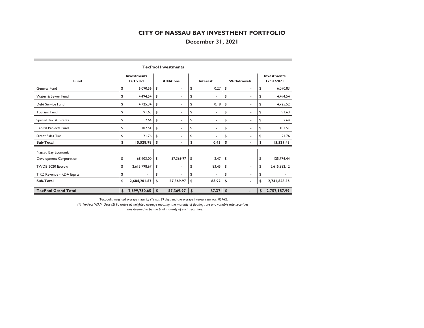## **December 31, 2021**

| Fund                       | <b>Investments</b><br>12/1/2021 |               | <b>Additions</b>         | <b>Interest</b> |       | Withdrawals |                          |    | <b>Investments</b><br>12/31/2021 |
|----------------------------|---------------------------------|---------------|--------------------------|-----------------|-------|-------------|--------------------------|----|----------------------------------|
|                            |                                 |               |                          |                 |       |             |                          |    |                                  |
| General Fund               | \$<br>6,090.56                  | \$            |                          | \$              | 0.27  | \$          |                          | \$ | 6,090.83                         |
| Water & Sewer Fund         | \$<br>4,494.54                  | \$            | ٠                        | \$              | ۰     | \$          | ٠                        | \$ | 4,494.54                         |
| Debt Service Fund          | \$<br>4,725.34                  | \$            | $\overline{\phantom{a}}$ | \$              | 0.18  | \$          | $\overline{\phantom{a}}$ | \$ | 4,725.52                         |
| <b>Tourism Fund</b>        | \$<br>91.63                     | \$            | ٠                        | \$              | ٠     | \$          | $\overline{\phantom{a}}$ | \$ | 91.63                            |
| Special Rev. & Grants      | \$<br>2.64                      | \$            | ٠                        | \$              | ۰     | \$          | ۰                        | \$ | 2.64                             |
| Capital Projects Fund      | \$<br>102.51                    | \$            | ٠                        | \$              | ٠     | \$          | ٠                        | \$ | 102.51                           |
| <b>Street Sales Tax</b>    | \$<br>21.76                     | \$            |                          | \$              |       | \$          |                          | \$ | 21.76                            |
| Sub-Total                  | \$<br>15,528.98                 | <sup>\$</sup> |                          | \$              | 0.45  | \$          |                          | \$ | 15,529.43                        |
| Nassau Bay Economic        |                                 |               |                          |                 |       |             |                          |    |                                  |
| Development Corporation    | \$<br>68,403.00                 | \$            | 57,369.97                | \$              | 3.47  | \$          | ۰                        | \$ | 125,776.44                       |
| TWDB 2020 Escrow           | \$<br>2,615,798.67              | \$            | ۰                        | \$              | 83.45 | \$          | $\overline{\phantom{a}}$ | \$ | 2,615,882.12                     |
| TIRZ Revenue - RDA Equity  | \$                              | \$            |                          | \$              |       | \$          | $\overline{\phantom{a}}$ | \$ |                                  |
| Sub-Total                  | \$<br>2,684,201.67              | \$            | 57,369.97                | \$              | 86.92 | \$          | $\blacksquare$           | \$ | 2,741,658.56                     |
|                            |                                 |               |                          |                 |       |             |                          |    |                                  |
| <b>TexPool Grand Total</b> | \$<br>2,699,730.65              | \$            | 57,369.97                | \$              | 87.37 | \$          | ۰                        | \$ | 2,757,187.99                     |

#### **TexPool Investments**

Texpool's weighted average maturity (\*) was 39 days and the average interest rate was .0376%.

*(\*) TexPool WAM Days (2) To arrive at weighted average maturity, the maturity of floating rate and variable rate securities was deemed to be the final maturity of such securities.*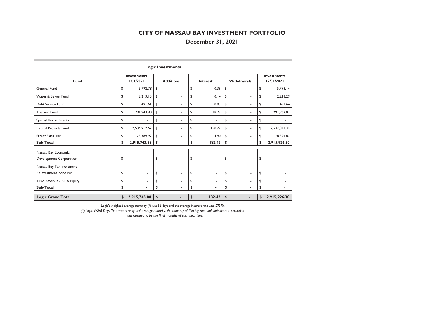## **December 31, 2021**

| Fund                      | <b>Investments</b><br>12/1/2021 | <b>Additions</b>               | <b>Interest</b> |               | Withdrawals              |    | <b>Investments</b><br>12/31/2021 |  |
|---------------------------|---------------------------------|--------------------------------|-----------------|---------------|--------------------------|----|----------------------------------|--|
| General Fund              | \$<br>5,792.78                  | \$<br>٠                        | \$<br>0.36      | \$            | ٠                        | \$ | 5,793.14                         |  |
| Water & Sewer Fund        | \$<br>2,213.15                  | \$<br>×                        | \$<br>0.14      | \$            | ٠                        | \$ | 2,213.29                         |  |
| Debt Service Fund         | \$<br>491.61                    | \$<br>٠                        | \$<br>0.03      | \$            | ٠                        | \$ | 491.64                           |  |
| <b>Tourism Fund</b>       | \$<br>291,943.80                | \$<br>×                        | \$<br>18.27     | \$            | ٠                        | \$ | 291,962.07                       |  |
| Special Rev. & Grants     | \$<br>$\overline{\phantom{a}}$  | \$<br>٠                        | \$<br>٠         | \$            | ۰                        | \$ | ٠                                |  |
| Capital Projects Fund     | \$<br>2,536,912.62              | \$<br>$\overline{\phantom{a}}$ | \$<br>158.72    | \$            | ٠                        | \$ | 2,537,071.34                     |  |
| <b>Street Sales Tax</b>   | \$<br>78,389.92                 | \$                             | \$<br>4.90      | \$            | ٠                        | \$ | 78.394.82                        |  |
| Sub-Total                 | \$<br>2,915,743.88              | \$                             | \$<br>182.42    | \$            | ٠                        | \$ | 2,915,926.30                     |  |
| Nassau Bay Economic       |                                 |                                |                 |               |                          |    |                                  |  |
| Development Corporation   | \$<br>$\sim$                    | \$<br>٠                        | \$<br>٠         | \$            | $\overline{\phantom{a}}$ | \$ |                                  |  |
| Nassau Bay Tax Increment  |                                 |                                |                 |               |                          |    |                                  |  |
| Reinvestment Zone No. I   | \$<br>$\overline{\phantom{a}}$  | \$<br>٠                        | \$<br>٠         | \$            | $\overline{\phantom{a}}$ | \$ |                                  |  |
| TIRZ Revenue - RDA Equity | \$                              | \$                             | \$<br>٠         | \$            | ٠                        | \$ |                                  |  |
| Sub-Total                 | \$                              | \$                             | \$              | \$            |                          | S  |                                  |  |
| <b>Logic Grand Total</b>  | \$<br>2,915,743.88              | \$<br>٠                        | \$<br>182.42    | $\frac{1}{2}$ | $\overline{\phantom{a}}$ | \$ | 2,915,926.30                     |  |

#### **Logic Investments**

Logic's weighted average maturity (\*) was 56 days and the average interest rate was .0737%.

*(\*) Logic WAM Days To arrive at weighted average maturity, the maturity of floating rate and variable rate securities was deemed to be the final maturity of such securities.*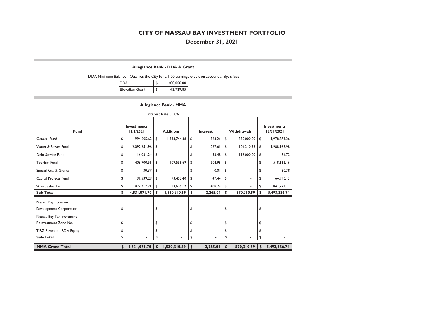## **December 31, 2021**

#### **Allegiance Bank - DDA & Grant**

DDA Minimum Balance - Qualifies the City for a 1.00 earnings credit on account analysis fees

| <b>DDA</b>             | 400,000.00      |
|------------------------|-----------------|
| <b>Elevation Grant</b> | \$<br>43,729.85 |

#### **Allegiance Bank - MMA**

| Interest Rate 0.58%                                 |                                 |              |    |                          |    |                 |                  |                    |    |                                  |  |  |  |
|-----------------------------------------------------|---------------------------------|--------------|----|--------------------------|----|-----------------|------------------|--------------------|----|----------------------------------|--|--|--|
| Fund                                                | <b>Investments</b><br>12/1/2021 |              |    | <b>Additions</b>         |    | <b>Interest</b> |                  | <b>Withdrawals</b> |    | <b>Investments</b><br>12/31/2021 |  |  |  |
| General Fund                                        | \$                              | 994,605.62   | S. | 1,333,744.38             | \$ | 523.26          | 350,000.00<br>\$ |                    | \$ | 1,978,873.26                     |  |  |  |
| Water & Sewer Fund                                  | \$                              | 2,092,251.96 | \$ | ٠                        | \$ | 1,027.61        | \$               | 104,310.59         | \$ | 1,988,968.98                     |  |  |  |
| Debt Service Fund                                   | \$                              | 116,031.24   | \$ |                          | \$ | 53.48           | \$               | 116,000.00         | \$ | 84.72                            |  |  |  |
| <b>Tourism Fund</b>                                 | \$                              | 408,900.51   | \$ | 109,556.69               | \$ | 204.96          | \$               | ٠                  | \$ | 518,662.16                       |  |  |  |
| Special Rev. & Grants                               | \$                              | 30.37        | \$ | ٠                        | \$ | 0.01            | \$               | ٠                  | \$ | 30.38                            |  |  |  |
| Capital Projects Fund                               | \$                              | 91,539.29    | \$ | 73,403.40                | \$ | 47.44           | \$               | ٠                  | \$ | 164,990.13                       |  |  |  |
| <b>Street Sales Tax</b>                             | \$                              | 827,712.71   | \$ | 13,606.12                | \$ | 408.28          | \$               |                    | \$ | 841,727.11                       |  |  |  |
| Sub-Total                                           | \$                              | 4,531,071.70 | \$ | 1,530,310.59             | \$ | 2,265.04        | \$               | 570,310.59         | S  | 5,493,336.74                     |  |  |  |
| Nassau Bay Economic<br>Development Corporation      | \$                              | $\sim$       | \$ | $\overline{\phantom{a}}$ | \$ | ٠               | \$               | ٠                  | \$ |                                  |  |  |  |
| Nassau Bay Tax Increment<br>Reinvestment Zone No. I | \$                              | ٠            | \$ | ٠                        | \$ | ٠               | \$               | ٠                  | \$ |                                  |  |  |  |
| TIRZ Revenue - RDA Equity                           | \$                              | ٠            | \$ | ٠                        | \$ | ٠               | \$               | ٠                  | \$ |                                  |  |  |  |
| Sub-Total                                           | \$                              |              | \$ |                          | \$ |                 | \$               |                    | \$ |                                  |  |  |  |
| <b>MMA Grand Total</b>                              | \$                              | 4,531,071.70 | \$ | 1,530,310.59             | \$ | 2,265.04        | $\mathbf{s}$     | 570,310.59         | \$ | 5,493,336.74                     |  |  |  |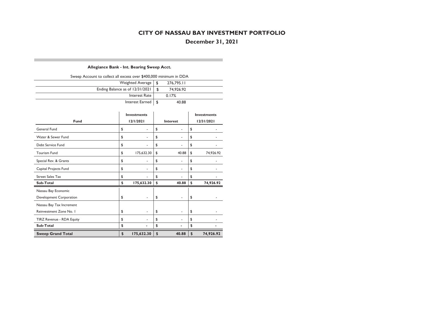**December 31, 2021**

### **Allegiance Bank - Int. Bearing Sweep Acct.**

| Sweep Account to collect all excess over \$400,000 minimum in DDA |  |            |  |  |  |  |  |  |  |
|-------------------------------------------------------------------|--|------------|--|--|--|--|--|--|--|
| Weighted Average   \$                                             |  | 276.795.11 |  |  |  |  |  |  |  |
| Ending Balance as of $12/31/2021$   \$                            |  | 74.926.92  |  |  |  |  |  |  |  |
| Interest Rate                                                     |  | 0.17%      |  |  |  |  |  |  |  |
| Interest Earned   \$                                              |  | 40.88      |  |  |  |  |  |  |  |

| Fund                      | <b>Investments</b><br>12/1/2021 | Interest    | <b>Investments</b><br>12/31/2021 |           |  |  |
|---------------------------|---------------------------------|-------------|----------------------------------|-----------|--|--|
| General Fund              | \$                              | \$          | \$                               |           |  |  |
| Water & Sewer Fund        | \$<br>٠                         | \$<br>٠     | \$                               |           |  |  |
| Debt Service Fund         | \$                              | \$          | \$                               |           |  |  |
| <b>Tourism Fund</b>       | \$<br>175,632.30                | \$<br>40.88 | \$                               | 74,926.92 |  |  |
| Special Rev. & Grants     | \$<br>٠                         | \$<br>٠     | \$                               |           |  |  |
| Capital Projects Fund     | \$                              | \$          | \$                               |           |  |  |
| <b>Street Sales Tax</b>   | \$                              | \$          | \$                               |           |  |  |
| Sub-Total                 | \$<br>175,632.30                | \$<br>40.88 | \$                               | 74,926.92 |  |  |
| Nassau Bay Economic       |                                 |             |                                  |           |  |  |
| Development Corporation   | \$                              | \$<br>٠     | \$                               |           |  |  |
| Nassau Bay Tax Increment  |                                 |             |                                  |           |  |  |
| Reinvestment Zone No. I   | \$<br>۰                         | \$<br>٠     | \$                               |           |  |  |
| TIRZ Revenue - RDA Equity | \$                              | \$          | \$                               |           |  |  |
| Sub-Total                 | \$                              | \$          | \$                               |           |  |  |
| <b>Sweep Grand Total</b>  | \$<br>175,632.30                | \$<br>40.88 | \$                               | 74,926.92 |  |  |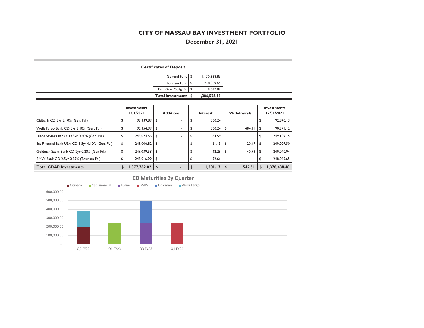## **December 31, 2021**

|                                                  |          |               |              |                                               | <b>Certificates of Deposit</b> |                        |                    |            |             |                |                                  |
|--------------------------------------------------|----------|---------------|--------------|-----------------------------------------------|--------------------------------|------------------------|--------------------|------------|-------------|----------------|----------------------------------|
|                                                  |          |               |              |                                               |                                | General Fund           | \$<br>1,130,368.83 |            |             |                |                                  |
|                                                  |          |               |              |                                               |                                | Tourism Fund \$        | 248,069.65         |            |             |                |                                  |
|                                                  |          |               |              |                                               |                                | Fed. Gov. Oblig. Fd \$ | 8,087.87           |            |             |                |                                  |
|                                                  |          |               |              |                                               | Total Investments \$           |                        | 1,386,526.35       |            |             |                |                                  |
|                                                  |          |               |              | <b>Investments</b><br>12/1/2021               | <b>Additions</b>               |                        | Interest           |            | Withdrawals |                | <b>Investments</b><br>12/31/2021 |
| Citibank CD 3yr 3.10% (Gen. Fd.)                 |          |               | \$           | 192,339.89                                    | \$                             |                        | \$<br>500.24       |            |             | \$             | 192,840.13                       |
| Wells Fargo Bank CD 3yr 3.10% (Gen. Fd.)         |          |               | \$           | 190,354.99                                    | \$                             |                        | \$<br>500.24       | \$         | 484.11      | \$             | 190,371.12                       |
| Luana Savings Bank CD 3yr 0.40% (Gen. Fd.)       |          |               | \$           | 249,024.56                                    | \$                             |                        | \$<br>84.59        |            |             | \$             | 249, 109. 15                     |
| 1st Financial Bank USA CD 1.5yr 0.10% (Gen. Fd.) |          |               | \$           | 249,006.82                                    | \$                             | ٠                      | \$<br>21.15        | \$         | 20.47       | \$             | 249,007.50                       |
| Goldman Sachs Bank CD 2yr 0.20% (Gen Fd.)        |          |               | \$           | 249,039.58                                    | \$                             |                        | \$<br>42.29        | \$         | 40.93       | \$             | 249,040.94                       |
| BMW Bank CD 2.5yr 0.25% (Tourism Fd.)            |          |               | \$           | 248,016.99                                    | \$                             |                        | \$<br>52.66        |            |             | \$             | 248,069.65                       |
| <b>Total CDAR Investments</b>                    |          |               | \$           | 1,377,782.82                                  | $\boldsymbol{\mathsf{s}}$      |                        | \$<br>1,201.17     | $\sqrt{2}$ | 545.51      | $\mathfrak{s}$ | 1,378,438.48                     |
| 600,000.00                                       | Citibank | 1st Financial | <b>Luana</b> | <b>CD Maturities By Quarter</b><br><b>BMW</b> | Goldman                        | Wells Fargo            |                    |            |             |                |                                  |
| 500,000.00                                       |          |               |              |                                               |                                |                        |                    |            |             |                |                                  |
|                                                  |          |               |              |                                               |                                |                        |                    |            |             |                |                                  |
| 400,000.00                                       |          |               |              |                                               |                                |                        |                    |            |             |                |                                  |
| 300,000.00                                       |          |               |              |                                               |                                |                        |                    |            |             |                |                                  |
| 200,000.00                                       |          |               |              |                                               |                                |                        |                    |            |             |                |                                  |
| 100,000.00                                       |          |               |              |                                               |                                |                        |                    |            |             |                |                                  |
|                                                  | Q2 FY22  | Q1 FY23       |              | Q3 FY23                                       |                                | Q1 FY24                |                    |            |             |                |                                  |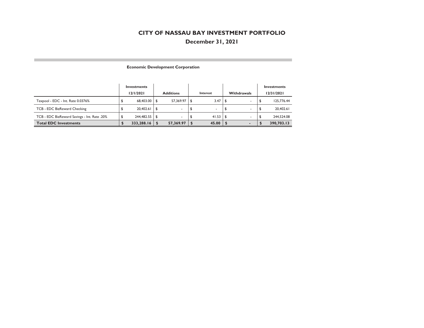## **December 31, 2021**

#### **Economic Development Corporation**

|                                              | <b>Investments</b><br>12/1/2021 | <b>Additions</b> | Interest | <b>Withdrawals</b>       | Investments<br>12/31/2021 |
|----------------------------------------------|---------------------------------|------------------|----------|--------------------------|---------------------------|
| Texpool - EDC - Int. Rate 0.0376%            | 68,403.00 \$                    | 57.369.97        | 3.47     | $\overline{\phantom{a}}$ | 125,776.44                |
| TCB - EDC BizReward Checking                 | 20,402.61                       |                  |          | $\overline{\phantom{a}}$ | 20,402.61                 |
| TCB - EDC BizReward Savings - Int. Rate .20% | 244,482.55 \$                   | $\sim$           | 41.53    | $\sim$                   | 244,524.08                |
| <b>Total EDC Investments</b>                 | 333,288.16                      | 57,369.97        | 45.00    |                          | 390,703.13                |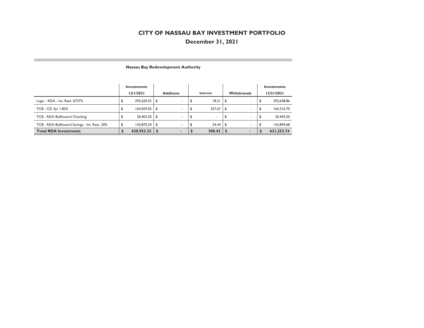## **December 31, 2021**

|                                              | Investments<br>12/1/2021 |      | <b>Additions</b>         |     | Interest | <b>Withdrawals</b>             |      | Investments<br>12/31/2021 |
|----------------------------------------------|--------------------------|------|--------------------------|-----|----------|--------------------------------|------|---------------------------|
| Logic - RDA - Int. Rate .0737%               | 292.620.55               | - \$ | $\sim$                   | \$. | 18.31    | \$<br>$\sim$                   | ه    | 292,638.86                |
| TCB - CD 3yr 1.85%                           | 164.059.03               | \$   |                          |     | 257.67   | \$                             | J    | 164,316.70                |
| TCB - RDA BizReward Checking                 | 20,403.50                | l S  |                          |     |          | \$<br>$\overline{\phantom{a}}$ | - \$ | 20,403.50                 |
| TCB - RDA BizReward Savings - Int. Rate .20% | 143.870.24               | \$   |                          |     | 24.44    | \$<br>$\overline{\phantom{a}}$ |      | 143.894.68                |
| <b>Total RDA Investments</b>                 | 620,953.32               |      | $\overline{\phantom{a}}$ |     | 300.42   |                                |      | 621,253.74                |

#### **Nassau Bay Redevelopment Authority**